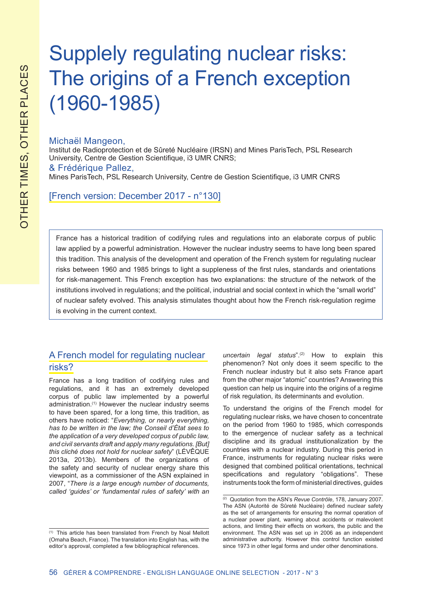# Supplely regulating nuclear risks: The origins of a French exception (1960-1985)

### Michaël Mangeon,

Institut de Radioprotection et de Sûreté Nucléaire (IRSN) and Mines ParisTech, PSL Research University, Centre de Gestion Scientifique, i3 UMR CNRS;

#### & Frédérique Pallez,

Mines ParisTech, PSL Research University, Centre de Gestion Scientifique, i3 UMR CNRS

[French version: December 2017 - n°130]

France has a historical tradition of codifying rules and regulations into an elaborate corpus of public law applied by a powerful administration. However the nuclear industry seems to have long been spared this tradition. This analysis of the development and operation of the French system for regulating nuclear risks between 1960 and 1985 brings to light a suppleness of the first rules, standards and orientations for risk-management. This French exception has two explanations: the structure of the network of the institutions involved in regulations; and the political, industrial and social context in which the "small world" of nuclear safety evolved. This analysis stimulates thought about how the French risk-regulation regime is evolving in the current context.

## A French model for regulating nuclear risks?

France has a long tradition of codifying rules and regulations, and it has an extremely developed corpus of public law implemented by a powerful administration.(1) However the nuclear industry seems to have been spared, for a long time, this tradition, as others have noticed: "*Everything, or nearly everything, has to be written in the law; the Conseil d'État sees to the application of a very developed corpus of public law, and civil servants draft and apply many regulations. [But] this cliché does not hold for nuclear safety*" (LÉVÊQUE 2013a, 2013b). Members of the organizations of the safety and security of nuclear energy share this viewpoint, as a commissioner of the ASN explained in 2007, "*There is a large enough number of documents, called 'guides' or 'fundamental rules of safety' with an*

*uncertain legal status*".(2) How to explain this phenomenon? Not only does it seem specific to the French nuclear industry but it also sets France apart from the other major "atomic" countries? Answering this question can help us inquire into the origins of a regime of risk regulation, its determinants and evolution.

To understand the origins of the French model for regulating nuclear risks, we have chosen to concentrate on the period from 1960 to 1985, which corresponds to the emergence of nuclear safety as a technical discipline and its gradual institutionalization by the countries with a nuclear industry. During this period in France, instruments for regulating nuclear risks were designed that combined political orientations, technical specifications and regulatory "obligations". These instruments took the form of ministerial directives, guides

<sup>(1)</sup> This article has been translated from French by Noal Mellott (Omaha Beach, France). The translation into English has, with the editor's approval, completed a few bibliographical references.

<sup>(2)</sup> Quotation from the ASN's *Revue Contrôle*, 178, January 2007. The ASN (Autorité de Sûreté Nucléaire) defined nuclear safety as the set of arrangements for ensuring the normal operation of a nuclear power plant, warning about accidents or malevolent actions, and limiting their effects on workers, the public and the environment. The ASN was set up in 2006 as an independent administrative authority. However this control function existed since 1973 in other legal forms and under other denominations.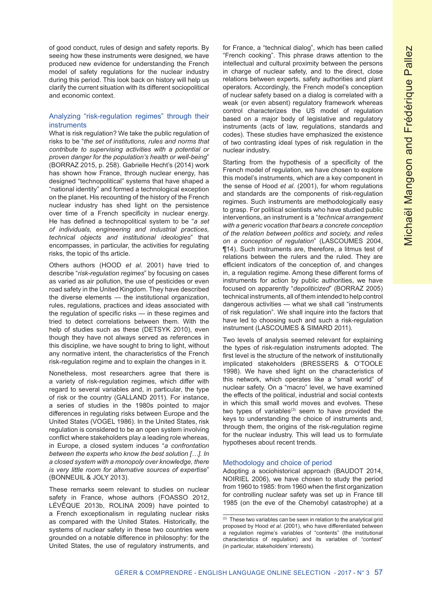of good conduct, rules of design and safety reports. By seeing how these instruments were designed, we have produced new evidence for understanding the French model of safety regulations for the nuclear industry during this period. This look back on history will help us clarify the current situation with its different sociopolitical and economic context.

#### Analyzing "risk-regulation regimes" through their **instruments**

What is risk regulation? We take the public regulation of risks to be "*the set of institutions, rules and norms that contribute to supervising activities with a potential or proven danger for the population's health or well-being*" (BORRAZ 2015, p. 258). Gabrielle Hecht's (2014) work has shown how France, through nuclear energy, has designed "technopolitical" systems that have shaped a "national identity" and formed a technological exception on the planet. His recounting of the history of the French nuclear industry has shed light on the persistence over time of a French specificity in nuclear energy. He has defined a technopolitical system to be "*a set of individuals, engineering and industrial practices, technical objects and institutional ideologies*" that encompasses, in particular, the activities for regulating risks, the topic of ths article.

Others authors (HOOD *et al*. 2001) have tried to describe "*risk-regulation regimes*" by focusing on cases as varied as air pollution, the use of pesticides or even road safety in the United Kingdom. They have described the diverse elements — the institutional organization, rules, regulations, practices and ideas associated with the regulation of specific risks — in these regimes and tried to detect correlations between them. With the help of studies such as these (DETSYK 2010), even though they have not always served as references in this discipline, we have sought to bring to light, without any normative intent, the characteristics of the French risk-regulation regime and to explain the changes in it.

Nonetheless, most researchers agree that there is a variety of risk-regulation regimes, which differ with regard to several variables and, in particular, the type of risk or the country (GALLAND 2011). For instance, a series of studies in the 1980s pointed to major differences in regulating risks between Europe and the United States (VOGEL 1986). In the United States, risk regulation is considered to be an open system involving conflict where stakeholders play a leading role whereas, in Europe, a closed system induces "*a confrontation between the experts who know the best solution […]. In a closed system with a monopoly over knowledge, there is very little room for alternative sources of expertise*" (BONNEUIL & JOLY 2013).

These remarks seem relevant to studies on nuclear safety in France, whose authors (FOASSO 2012, LÉVÊQUE 2013b, ROLINA 2009) have pointed to a French exceptionalism in regulating nuclear risks as compared with the United States. Historically, the systems of nuclear safety in these two countries were grounded on a notable difference in philosophy: for the United States, the use of regulatory instruments, and

for France, a "technical dialog", which has been called "French cooking". This phrase draws attention to the intellectual and cultural proximity between the persons in charge of nuclear safety, and to the direct, close relations between experts, safety authorities and plant operators. Accordingly, the French model's conception of nuclear safety based on a dialog is correlated with a weak (or even absent) regulatory framework whereas control characterizes the US model of regulation based on a major body of legislative and regulatory instruments (acts of law, regulations, standards and codes). These studies have emphasized the existence of two contrasting ideal types of risk regulation in the nuclear industry.

Starting from the hypothesis of a specificity of the French model of regulation, we have chosen to explore this model's instruments, which are a key component in the sense of Hood *et al*. (2001), for whom regulations and standards are the components of risk-regulation regimes. Such instruments are methodologically easy to grasp. For political scientists who have studied public interventions, an instrument is a "*technical arrangement with a generic vocation that bears a concrete conception of the relation between politics and society, and relies on a conception of regulation*" (LASCOUMES 2004, ¶14). Such instruments are, therefore, a litmus test of relations between the rulers and the ruled. They are efficient indicators of the conception of, and changes in, a regulation regime. Among these different forms of instruments for action by public authorities, we have focused on apparently "*depoliticized*" (BORRAZ 2005) technical instruments, all of them intended to help control dangerous activities — what we shall call "instruments of risk regulation". We shall inquire into the factors that have led to choosing such and such a risk-regulation instrument (LASCOUMES & SIMARD 2011).

Two levels of analysis seemed relevant for explaining the types of risk-regulation instruments adopted. The first level is the structure of the network of institutionally implicated stakeholders (BRESSERS & O'TOOLE 1998). We have shed light on the characteristics of this network, which operates like a "small world" of nuclear safety. On a "macro" level, we have examined the effects of the political, industrial and social contexts in which this small world moves and evolves. These two types of variables $(3)$  seem to have provided the keys to understanding the choice of instruments and, through them, the origins of the risk-regulation regime for the nuclear industry. This will lead us to formulate hypotheses about recent trends.

#### Methodology and choice of period

Adopting a sociohistorical approach (BAUDOT 2014, NOIRIEL 2006), we have chosen to study the period from 1960 to 1985: from 1960 when the first organization for controlling nuclear safety was set up in France till 1985 (on the eve of the Chernobyl catastrophe) at a

<sup>(3)</sup> These two variables can be seen in relation to the analytical grid proposed by Hood *et al*. (2001), who have differentiated between a regulation regime's variables of "contents" (the institutional characteristics of regulation) and its variables of "context" (in particular, stakeholders' interests).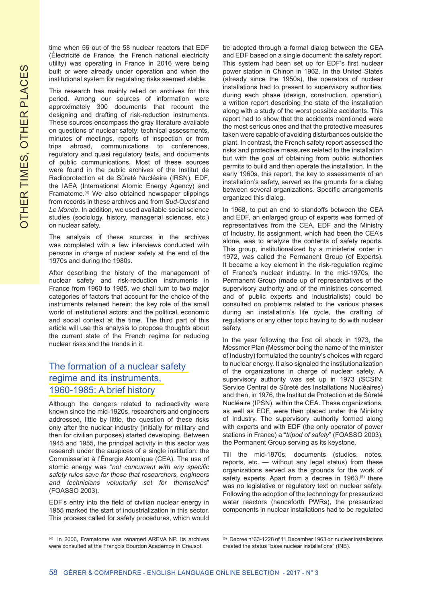time when 56 out of the 58 nuclear reactors that EDF (Électricité de France, the French national electricity utility) was operating in France in 2016 were being built or were already under operation and when the institutional system for regulating risks seemed stable.

This research has mainly relied on archives for this period. Among our sources of information were approximately 300 documents that recount the designing and drafting of risk-reduction instruments. These sources encompass the gray literature available on questions of nuclear safety: technical assessments, minutes of meetings, reports of inspection or from trips abroad, communications to conferences, regulatory and quasi regulatory texts, and documents of public communications. Most of these sources were found in the public archives of the Institut de Radioprotection et de Sûreté Nucléaire (IRSN), EDF, the IAEA (International Atomic Energy Agency) and Framatome.(4) We also obtained newspaper clippings from records in these archives and from *Sud-Ouest* and *Le Monde*. In addition, we used available social science studies (sociology, history, managerial sciences, etc.) on nuclear safety.

The analysis of these sources in the archives was completed with a few interviews conducted with persons in charge of nuclear safety at the end of the 1970s and during the 1980s.

After describing the history of the management of nuclear safety and risk-reduction instruments in France from 1960 to 1985, we shall turn to two major categories of factors that account for the choice of the instruments retained herein: the key role of the small world of institutional actors; and the political, economic and social context at the time. The third part of this article will use this analysis to propose thoughts about the current state of the French regime for reducing nuclear risks and the trends in it.

## The formation of a nuclear safety regime and its instruments, 1960-1985: A brief history

Although the dangers related to radioactivity were known since the mid-1920s, researchers and engineers addressed, little by little, the question of these risks only after the nuclear industry (initially for military and then for civilian purposes) started developing. Between 1945 and 1955, the principal activity in this sector was research under the auspices of a single institution: the Commissariat à l'Énergie Atomique (CEA). The use of atomic energy was "*not concurrent with any specific safety rules save for those that researchers, engineers and technicians voluntarily set for themselves*" (FOASSO 2003).

EDF's entry into the field of civilian nuclear energy in 1955 marked the start of industrialization in this sector. This process called for safety procedures, which would be adopted through a formal dialog between the CEA and EDF based on a single document: the safety report. This system had been set up for EDF's first nuclear power station in Chinon in 1962. In the United States (already since the 1950s), the operators of nuclear installations had to present to supervisory authorities, during each phase (design, construction, operation), a written report describing the state of the installation along with a study of the worst possible accidents. This report had to show that the accidents mentioned were the most serious ones and that the protective measures taken were capable of avoiding disturbances outside the plant. In contrast, the French safety report assessed the risks and protective measures related to the installation but with the goal of obtaining from public authorities permits to build and then operate the installation. In the early 1960s, this report, the key to assessments of an installation's safety, served as the grounds for a dialog between several organizations. Specific arrangements organized this dialog.

In 1968, to put an end to standoffs between the CEA and EDF, an enlarged group of experts was formed of representatives from the CEA, EDF and the Ministry of Industry. Its assignment, which had been the CEA's alone, was to analyze the contents of safety reports. This group, institutionalized by a ministerial order in 1972, was called the Permanent Group (of Experts). It became a key element in the risk-regulation regime of France's nuclear industry. In the mid-1970s, the Permanent Group (made up of representatives of the supervisory authority and of the ministries concerned, and of public experts and industrialists) could be consulted on problems related to the various phases during an installation's life cycle, the drafting of regulations or any other topic having to do with nuclear safety.

In the year following the first oil shock in 1973, the Messmer Plan (Messmer being the name of the minister of Industry) formulated the country's choices with regard to nuclear energy. It also signaled the institutionalization of the organizations in charge of nuclear safety. A supervisory authority was set up in 1973 (SCSIN: Service Central de Sûreté des Installations Nucléaires) and then, in 1976, the Institut de Protection et de Sûreté Nucléaire (IPSN), within the CEA. These organizations, as well as EDF, were then placed under the Ministry of Industry. The supervisory authority formed along with experts and with EDF (the only operator of power stations in France) a "*tripod of safety*" (FOASSO 2003), the Permanent Group serving as its keystone.

Till the mid-1970s, documents (studies, notes, reports, etc. — without any legal status) from these organizations served as the grounds for the work of safety experts. Apart from a decree in 1963,<sup>(5)</sup> there was no legislative or regulatory text on nuclear safety. Following the adoption of the technology for pressurized water reactors (henceforth PWRs), the pressurized components in nuclear installations had to be regulated

<sup>(4)</sup> In 2006, Framatome was renamed AREVA NP. Its archives were consulted at the François Bourdon Academoy in Creusot.

<sup>(5)</sup> Decree n°63-1228 of 11 December 1963 on nuclear installations created the status "base nuclear installations" (INB).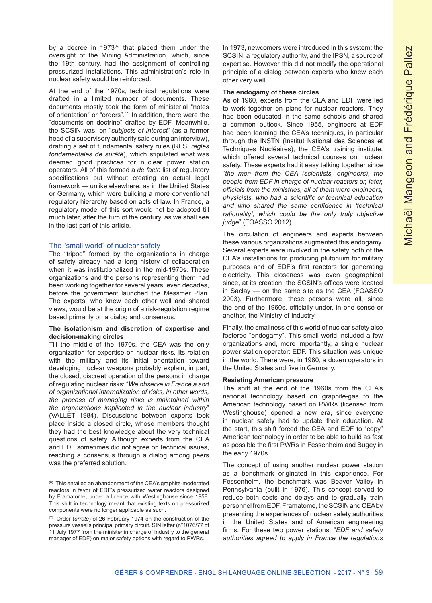by a decree in  $1973^{(6)}$  that placed them under the oversight of the Mining Administration, which, since the 19th century, had the assignment of controlling pressurized installations. This administration's role in nuclear safety would be reinforced.

At the end of the 1970s, technical regulations were drafted in a limited number of documents. These documents mostly took the form of ministerial "notes of orientation" or "orders".(7) In addition, there were the "documents on doctrine" drafted by EDF. Meanwhile, the SCSIN was, on "*subjects of interest*" (as a former head of a supervisory authority said during an interview), drafting a set of fundamental safety rules (RFS: *règles fondamentales de surêté*), which stipulated what was deemed good practices for nuclear power station operators. All of this formed a *de facto* list of regulatory specifications but without creating an actual legal framework — unlike elsewhere, as in the United States or Germany, which were building a more conventional regulatory hierarchy based on acts of law. In France, a regulatory model of this sort would not be adopted till much later, after the turn of the century, as we shall see in the last part of this article.

#### The "small world" of nuclear safety

The "tripod" formed by the organizations in charge of safety already had a long history of collaboration when it was institutionalized in the mid-1970s. These organizations and the persons representing them had been working together for several years, even decades, before the government launched the Messmer Plan. The experts, who knew each other well and shared views, would be at the origin of a risk-regulation regime based primarily on a dialog and consensus.

#### **The isolationism and discretion of expertise and decision-making circles**

Till the middle of the 1970s, the CEA was the only organization for expertise on nuclear risks. Its relation with the military and its initial orientation toward developing nuclear weapons probably explain, in part, the closed, discreet operation of the persons in charge of regulating nuclear risks: "*We observe in France a sort of organizational internalization of risks, in other words, the process of managing risks is maintained within the organizations implicated in the nuclear industry*" (VALLET 1984). Discussions between experts took place inside a closed circle, whose members thought they had the best knowledge about the very technical questions of safety. Although experts from the CEA and EDF sometimes did not agree on technical issues, reaching a consensus through a dialog among peers was the preferred solution.

In 1973, newcomers were introduced in this system: the SCSIN, a regulatory authority, and the IPSN, a source of expertise. However this did not modify the operational principle of a dialog between experts who knew each other very well.

#### **The endogamy of these circles**

As of 1960, experts from the CEA and EDF were led to work together on plans for nuclear reactors. They had been educated in the same schools and shared a common outlook. Since 1955, engineers at EDF had been learning the CEA's techniques, in particular through the INSTN (Institut National des Sciences et Techniques Nucléaires), the CEA's training institute, which offered several technical courses on nuclear safety. These experts had it easy talking together since "*the men from the CEA (scientists, engineers), the people from EDF in charge of nuclear reactors or, later, officials from the ministries, all of them were engineers, physicists, who had a scientific or technical education and who shared the same confidence in 'technical rationality', which could be the only truly objective judge*" (FOASSO 2012).

The circulation of engineers and experts between these various organizations augmented this endogamy. Several experts were involved in the safety both of the CEA's installations for producing plutonium for military purposes and of EDF's first reactors for generating electricity. This closeness was even geographical since, at its creation, the SCSIN's offices were located in Saclay — on the same site as the CEA (FOASSO 2003). Furthermore, these persons were all, since the end of the 1960s, officially under, in one sense or another, the Ministry of Industry.

Finally, the smallness of this world of nuclear safety also fostered "endogamy". This small world included a few organizations and, more importantly, a single nuclear power station operator: EDF. This situation was unique in the world. There were, in 1980, a dozen operators in the United States and five in Germany.

#### **Resisting American pressure**

The shift at the end of the 1960s from the CEA's national technology based on graphite-gas to the American technology based on PWRs (licensed from Westinghouse) opened a new era, since everyone in nuclear safety had to update their education. At the start, this shift forced the CEA and EDF to "copy" American technology in order to be able to build as fast as possible the first PWRs in Fessenheim and Bugey in the early 1970s.

The concept of using another nuclear power station as a benchmark originated in this experience. For Fessenheim, the benchmark was Beaver Valley in Pennsylvania (built in 1976). This concept served to reduce both costs and delays and to gradually train personnel from EDF, Framatome, the SCSIN and CEA by presenting the experiences of nuclear safety authorities in the United States and of American engineering firms. For these two power stations, "*EDF and safety authorities agreed to apply in France the regulations* 

 $\overline{60}$  This entailed an abandonment of the CEA's graphite-moderated reactors in favor of EDF's pressurized water reactors designed by Framatome, under a licence with Westinghouse since 1958. This shift in technology meant that existing texts on pressurized components were no longer applicable as such.

<sup>(7)</sup> Order (*arrêté*) of 26 February 1974 on the construction of the pressure vessel's principal primary circuit. SIN letter (n°1076/77 of 11 July 1977 from the minister in charge of Industry to the general manager of EDF) on major safety options with regard to PWRs.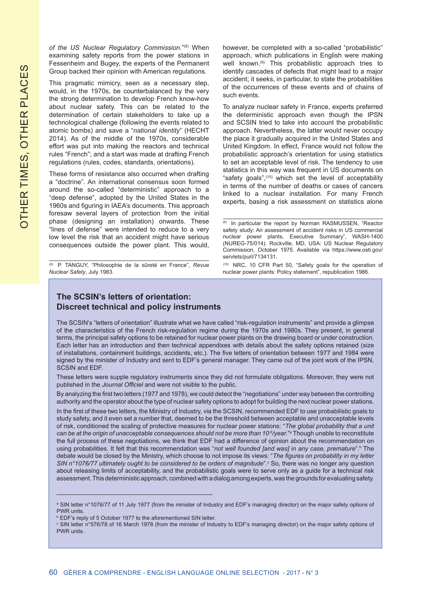*of the US Nuclear Regulatory Commission.*"(8) When examining safety reports from the power stations in Fessenheim and Bugey, the experts of the Permanent Group backed their opinion with American regulations.

This pragmatic mimicry, seen as a necessary step, would, in the 1970s, be counterbalanced by the very the strong determination to develop French know-how about nuclear safety. This can be related to the determination of certain stakeholders to take up a technological challenge (following the events related to atomic bombs) and save a "*national identity*" (HECHT 2014). As of the middle of the 1970s, considerable effort was put into making the reactors and technical rules "French"; and a start was made at drafting French regulations (rules, codes, standards, orientations).

These forms of resistance also occurred when drafting a "doctrine". An international consensus soon formed around the so-called "deterministic" approach to a "deep defense", adopted by the United States in the 1960s and figuring in IAEA's documents. This approach foresaw several layers of protection from the initial phase (designing an installation) onwards. These "lines of defense" were intended to reduce to a very low level the risk that an accident might have serious consequences outside the power plant. This would,

(8) P. TANGUY, "Philosophie de la sûreté en France", *Revue Nuclear Safety*, July 1983.

however, be completed with a so-called "probabilistic" approach, which publications in English were making well known.(9) This probabilistic approach tries to identify cascades of defects that might lead to a major accident; it seeks, in particular, to state the probabilities of the occurrences of these events and of chains of such events.

To analyze nuclear safety in France, experts preferred the deterministic approach even though the IPSN and SCSIN tried to take into account the probabilistic approach. Nevertheless, the latter would never occupy the place it gradually acquired in the United States and United Kingdom. In effect, France would not follow the probabilistic approach's orientation for using statistics to set an acceptable level of risk. The tendency to use statistics in this way was frequent in US documents on "safety goals",<sup>(10)</sup> which set the level of acceptability in terms of the number of deaths or cases of cancers linked to a nuclear installation. For many French experts, basing a risk assessment on statistics alone

(10) NRC, 10 CFR Part 50, "Safety goals for the operation of nuclear power plants: Policy statement", republication 1986.

## **The SCSIN's letters of orientation: Discreet technical and policy instruments**

The SCSIN's "letters of orientation" illustrate what we have called "risk-regulation instruments" and provide a glimpse of the characteristics of the French risk-regulation regime during the 1970s and 1980s. They present, in general terms, the principal safety options to be retained for nuclear power plants on the drawing board or under construction. Each letter has an introduction and then technical appendixes with details about the safety options retained (size of installations, containment buildings, accidents, etc.). The five letters of orientation between 1977 and 1984 were signed by the minister of Industry and sent to EDF's general manager. They came out of the joint work of the IPSN, SCSIN and EDF.

These letters were supple regulatory instruments since they did not formulate obligations. Moreover, they were not published in the *Journal Officiel* and were not visible to the public.

By analyzing the first two letters (1977 and 1978), we could detect the "negotiations" under way between the controlling authority and the operator about the type of nuclear safety options to adopt for building the next nuclear power stations.

In the first of these two letters, the Ministry of Industry, via the SCSIN, recommended EDF to use probabilistic goals to study safety, and it even set a number that, deemed to be the threshold between acceptable and unacceptable levels of risk, conditioned the scaling of protective measures for nuclear power stations: "*The global probability that a unit*  ca*n be at the origin of unacceptable consequences should not be more than 10°/year."ª* Though unable to reconstitute the full process of these negotiations, we think that EDF had a difference of opinion about the recommendation on using probabilities. It felt that this recommendation was "*not well founded [and was] in any case, premature*".<sup>b</sup> The debate would be closed by the Ministry, which choose to not impose its views: "*The figures on probability in my letter SIN n°1076/77 ultimately ought to be considered to be orders of magnitude".<sup>c</sup> So, there was no longer any question* about releasing limits of acceptability, and the probabilistic goals were to serve only as a guide for a technical risk assessment. This deterministic approach, combined with a dialog among experts, was the grounds for evaluating safety.

\_\_\_\_\_\_\_\_\_\_\_\_\_\_\_\_\_\_\_\_\_\_\_\_\_\_\_\_\_\_\_\_\_\_\_\_\_\_\_\_\_\_\_\_\_

<sup>(9)</sup> In particular the report by Norman RASMUSSEN, "Reactor safety study: An assessment of accident risks in US commercial nuclear power plants, Executive Summary", WASH-1400 (NUREG-75/014). Rockville, MD, USA: US Nuclear Regulatory Commission, October 1975. Available via https://www.osti.gov/ servlets/purl/7134131.

ª SIN letter n°1076/77 of 11 July 1977 (from the minister of Industry and EDF's managing director) on the major safety options of PWR units.

b EDF's reply of 5 October 1977 to the aforementioned SIN letter.

 $^\circ$  SIN letter n°576/78 of 16 March 1978 (from the minister of Industry to EDF's managing director) on the major safety options of PWR units.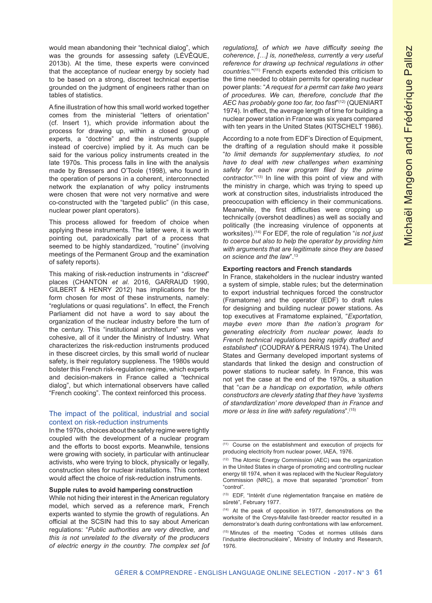would mean abandoning their "technical dialog", which was the grounds for assessing safety (LÉVÊQUE, 2013b). At the time, these experts were convinced that the acceptance of nuclear energy by society had to be based on a strong, discreet technical expertise grounded on the judgment of engineers rather than on tables of statistics.

A fine illustration of how this small world worked together comes from the ministerial "letters of orientation" (cf. Insert 1), which provide information about the process for drawing up, within a closed group of experts, a "doctrine" and the instruments (supple instead of coercive) implied by it. As much can be said for the various policy instruments created in the late 1970s. This process falls in line with the analysis made by Bressers and O'Toole (1998), who found in the operation of persons in a coherent, interconnected network the explanation of why policy instruments were chosen that were not very normative and were co-constructed with the "targeted public" (in this case, nuclear power plant operators).

This process allowed for freedom of choice when applying these instruments. The latter were, it is worth pointing out, paradoxically part of a process that seemed to be highly standardized, "routine" (involving meetings of the Permanent Group and the examination of safety reports).

This making of risk-reduction instruments in "*discreet*" places (CHANTON *et al*. 2016, GARRAUD 1990, GILBERT & HENRY 2012) has implications for the form chosen for most of these instruments, namely: "reglulations or quasi regulations". In effect, the French Parliament did not have a word to say about the organization of the nuclear industry before the turn of the century. This "institutional architecture" was very cohesive, all of it under the Ministry of Industry. What characterizes the risk-reduction instruments produced in these discreet circles, by this small world of nuclear safety, is their regulatory suppleness. The 1980s would bolster this French risk-regulation regime, which experts and decision-makers in France called a "technical dialog", but which international observers have called "French cooking". The context reinforced this process.

#### The impact of the political, industrial and social context on risk-reduction instruments

In the 1970s, choices about the safety regime were tightly coupled with the development of a nuclear program and the efforts to boost exports. Meanwhile, tensions were growing with society, in particular with antinuclear activists, who were trying to block, physically or legally, construction sites for nuclear installations. This context would affect the choice of risk-reduction instruments.

#### **Supple rules to avoid hampering construction**

*regulations], of which we have difficulty seeing the coherence, […] is, nonetheless, currently a very useful reference for drawing up technical regulations in other countries.*"(11) French experts extended this criticism to the time needed to obtain permits for operating nuclear power plants: "*A request for a permit can take two years of procedures. We can, therefore, conclude that the AEC has probably gone too far, too fast*"(12) (QUENIART 1974). In effect, the average length of time for building a nuclear power station in France was six years compared with ten years in the United States (KITSCHELT 1986).

According to a note from EDF's Direction of Equipment, the drafting of a regulation should make it possible "*to limit demands for supplementary studies, to not have to deal with new challenges when examining safety for each new program filed by the prime contractor.*"(13) In line with this point of view and with the ministry in charge, which was trying to speed up work at construction sites, industrialists introduced the preoccupation with efficiency in their communications. Meanwhile, the first difficulties were cropping up technically (overshot deadlines) as well as socially and politically (the increasing virulence of opponents at worksites).(14) For EDF, the role of regulation "*is not just to coerce but also to help the operator by providing him with arguments that are legitimate since they are based on science and the law*".<sup>13</sup>

#### **Exporting reactors and French standards**

In France, stakeholders in the nuclear industry wanted a system of simple, stable rules; but the determination to export industrial techniques forced the constructor (Framatome) and the operator (EDF) to draft rules for designing and building nuclear power stations. As top executives at Framatome explained, "*Exportation, maybe even more than the nation's program for generating electricity from nuclear power, leads to French technical regulations being rapidly drafted and established*" (COUDRAY & PERRAIS 1974). The United States and Germany developed important systems of standards that linked the design and construction of power stations to nuclear safety. In France, this was not yet the case at the end of the 1970s, a situation that "*can be a handicap on exportation, while others constructors are cleverly stating that they have 'systems of standardization' more developed than in France and more or less in line with safety regulations*".(15)

While not hiding their interest in the American regulatory model, which served as a reference mark, French experts wanted to stymie the growth of regulations. An official at the SCSIN had this to say about American regulations: "*Public authorities are very directive, and this is not unrelated to the diversity of the producers of electric energy in the country. The complex set [of* 

<sup>(11)</sup> Course on the establishment and execution of projects for producing electricity from nuclear power, IAEA, 1976.

<sup>(12)</sup> The Atomic Energy Commission (AEC) was the organization in the United States in charge of promoting and controlling nuclear energy till 1974, when it was replaced with the Nuclear Regulatory Commission (NRC), a move that separated "promotion" from "control".

<sup>(13)</sup> EDF, "Intérêt d'une réglementation française en matière de sûreté", February 1977.

<sup>(14)</sup> At the peak of opposition in 1977, demonstrations on the worksite of the Creys-Malville fast-breeder reactor resulted in a demonstrator's death during confrontations with law enforcement. (15) Minutes of the meeting "Codes et normes utilisés dans l'industrie électronucléaire", Ministry of Industry and Research, 1976.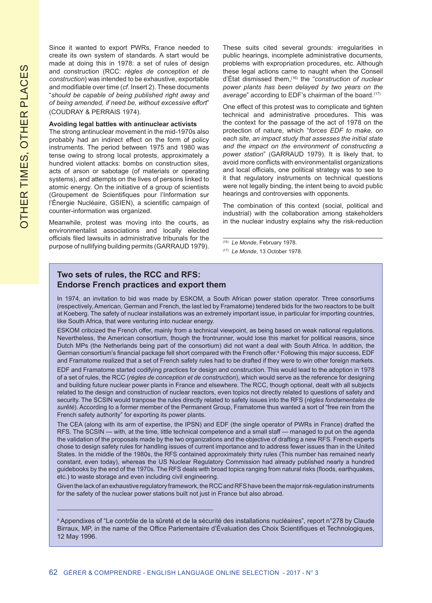Since it wanted to export PWRs, France needed to create its own system of standards. A start would be made at doing this in 1978: a set of rules of design and construction (RCC: *règles de conception et de construction*) was intended to be exhaustive, exportable and modifiable over time (*cf*. Insert 2). These documents "*should be capable of being published right away and of being amended, if need be, without excessive effort*" (COUDRAY & PERRAIS 1974).

#### **Avoiding legal battles with antinuclear activists**

The strong antinuclear movement in the mid-1970s also probably had an indirect effect on the form of policy instruments. The period between 1975 and 1980 was tense owing to strong local protests, approximately a hundred violent attacks: bombs on construction sites, acts of arson or sabotage (of materials or operating systems), and attempts on the lives of persons linked to atomic energy. On the initiative of a group of scientists (Groupement de Scientifiques pour l'Information sur l'Énergie Nucléaire, GSIEN), a scientific campaign of counter-information was organized.

Meanwhile, protest was moving into the courts, as environmentalist associations and locally elected officials filed lawsuits in administrative tribunals for the purpose of nullifying building permits (GARRAUD 1979). These suits cited several grounds: irregularities in public hearings, incomplete administrative documents, problems with expropriation procedures, etc. Although these legal actions came to naught when the Conseil d'État dismissed them,(16) the "*construction of nuclear power plants has been delayed by two years on the*  average" according to EDF's chairman of the board.<sup>(17)</sup>

One effect of this protest was to complicate and tighten technical and administrative procedures. This was the context for the passage of the act of 1978 on the protection of nature, which "*forces EDF to make, on each site, an impact study that assesses the initial state and the impact on the environment of constructing a power station*" (GARRAUD 1979). It is likely that, to avoid more conflicts with environmentalist organizations and local officials, one political strategy was to see to it that regulatory instruments on technical questions were not legally binding, the intent being to avoid public hearings and controversies with opponents.

The combination of this context (social, political and industrial) with the collaboration among stakeholders in the nuclear industry explains why the risk-reduction

(16) *Le Monde*, February 1978.

(17) *Le Monde*, 13 October 1978.

## **Two sets of rules, the RCC and RFS: Endorse French practices and export them**

\_\_\_\_\_\_\_\_\_\_\_\_\_\_\_\_\_\_\_\_\_\_\_\_\_\_\_\_\_\_\_\_\_\_\_\_\_\_\_\_\_\_\_\_\_

In 1974, an invitation to bid was made by ESKOM, a South African power station operator. Three consortiums (respectively, American, German and French, the last led by Framatome) tendered bids for the two reactors to be built at Koeberg. The safety of nuclear installations was an extremely important issue, in particular for importing countries, like South Africa, that were venturing into nuclear energy.

ESKOM criticized the French offer, mainly from a technical viewpoint, as being based on weak national regulations. Nevertheless, the American consortium, though the frontrunner, would lose this market for political reasons, since Dutch MPs (the Netherlands being part of the consortium) did not want a deal with South Africa. In addition, the German consortium's financial package fell short compared with the French offer.ª Following this major success, EDF and Framatome realized that a set of French safety rules had to be drafted if they were to win other foreign markets.

EDF and Framatome started codifying practices for design and construction. This would lead to the adoption in 1978 of a set of rules, the RCC (*règles de conception et de construction*), which would serve as the reference for designing and building future nuclear power plants in France and elsewhere. The RCC, though optional, dealt with all subjects related to the design and construction of nuclear reactors, even topics not directly related to questions of safety and security. The SCSIN would tranpose the rules directly related to safety issues into the RFS (*règles fondamentales de surêté*). According to a former member of the Permanent Group, Framatome thus wanted a sort of "free rein from the French safety authority" for exporting its power plants.

The CEA (along with its arm of expertise, the IPSN) and EDF (the single operator of PWRs in France) drafted the RFS. The SCSIN — with, at the time, little technical competence and a small staff — managed to put on the agenda the validation of the proposals made by the two organizations and the objective of drafting a new RFS. French experts chose to design safety rules for handling issues of current importance and to address fewer issues than in the United States. In the middle of the 1980s, the RFS contained approximately thirty rules (This number has remained nearly constant, even today), whereas the US Nuclear Regulatory Commission had already published nearly a hundred guidebooks by the end of the 1970s. The RFS deals with broad topics ranging from natural risks (floods, earthquakes, etc.) to waste storage and even including civil engineering.

Given the lack of an exhaustive regulatory framework, the RCC and RFS have been the major risk-regulation instruments for the safety of the nuclear power stations built not just in France but also abroad.

a Appendixes of "Le contrôle de la sûreté et de la sécurité des installations nucléaires", report n°278 by Claude Birraux, MP, in the name of the Office Parlementaire d'Évaluation des Choix Scientifiques et Technologiques, 12 May 1996.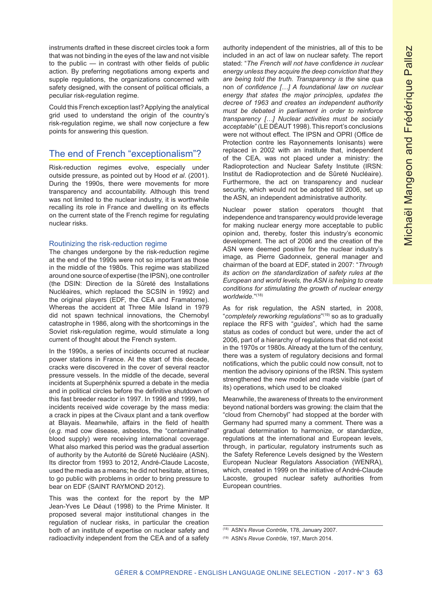instruments drafted in these discreet circles took a form that was not binding in the eyes of the law and not visible to the public — in contrast with other fields of public action. By preferring negotiations among experts and supple regulations, the organizations concerned with safety designed, with the consent of political officials, a peculiar risk-regulation regime.

Could this French exception last? Applying the analytical grid used to understand the origin of the country's risk-regulation regime, we shall now conjecture a few points for answering this question.

## The end of French "exceptionalism"?

Risk-reduction regimes evolve, especially under outside pressure, as pointed out by Hood *et al*. (2001). During the 1990s, there were movements for more transparency and accountability. Although this trend was not limited to the nuclear industry, it is worthwhile recalling its role in France and dwelling on its effects on the current state of the French regime for regulating nuclear risks.

#### Routinizing the risk-reduction regime

The changes undergone by the risk-reduction regime at the end of the 1990s were not so important as those in the middle of the 1980s. This regime was stabilized around one source of expertise (the IPSN), one controller (the DSIN: Direction de la Sûreté des Installations Nucléaires, which replaced the SCSIN in 1992) and the original players (EDF, the CEA and Framatome). Whereas the accident at Three Mile Island in 1979 did not spawn technical innovations, the Chernobyl catastrophe in 1986, along with the shortcomings in the Soviet risk-regulation regime, would stimulate a long current of thought about the French system.

In the 1990s, a series of incidents occurred at nuclear power stations in France. At the start of this decade, cracks were discovered in the cover of several reactor pressure vessels. In the middle of the decade, several incidents at Superphénix spurred a debate in the media and in political circles before the definitive shutdown of this fast breeder reactor in 1997. In 1998 and 1999, two incidents received wide coverage by the mass media: a crack in pipes at the Civaux plant and a tank overflow at Blayais. Meanwhile, affairs in the field of health (*e.g.* mad cow disease, asbestos, the "contaminated" blood supply) were receiving international coverage. What also marked this period was the gradual assertion of authority by the Autorité de Sûreté Nucléaire (ASN). Its director from 1993 to 2012, André-Claude Lacoste, used the media as a means; he did not hesitate, at times, to go public with problems in order to bring pressure to bear on EDF (SAINT RAYMOND 2012).

This was the context for the report by the MP Jean-Yves Le Déaut (1998) to the Prime Minister. It proposed several major institutional changes in the regulation of nuclear risks, in particular the creation both of an institute of expertise on nuclear safety and radioactivity independent from the CEA and of a safety

authority independent of the ministries, all of this to be included in an act of law on nuclear safety. The report stated: "*The French will not have confidence in nuclear energy unless they acquire the deep conviction that they are being told the truth. Transparency is the* sine qua non *of confidence […] A foundational law on nuclear energy that states the major principles, updates the decree of 1963 and creates an independent authority must be debated in parliament in order to reinforce transparency […] Nuclear activities must be socially acceptable*" (LE DÉAUT 1998). This report's conclusions were not without effect. The IPSN and OPRI (Office de Protection contre les Rayonnements Ionisants) were replaced in 2002 with an institute that, independent of the CEA, was not placed under a ministry: the Radioprotection and Nuclear Safety Institute (IRSN: Institut de Radioprotection and de Sûreté Nucléaire). Furthermore, the act on transparency and nuclear security, which would not be adopted till 2006, set up the ASN, an independent administrative authority.

Nuclear power station operators thought that independence and transparency would provide leverage for making nuclear energy more acceptable to public opinion and, thereby, foster this industry's economic development. The act of 2006 and the creation of the ASN were deemed positive for the nuclear industry's image, as Pierre Gadonneix, general manager and chairman of the board at EDF, stated in 2007: "*Through its action on the standardization of safety rules at the European and world levels, the ASN is helping to create conditions for stimulating the growth of nuclear energy worldwide.*"(18)

As for risk regulation, the ASN started, in 2008, "*completely reworking regulations*" (19) so as to gradually replace the RFS with "*guides*", which had the same status as codes of conduct but were, under the act of 2006, part of a hierarchy of regulations that did not exist in the 1970s or 1980s. Already at the turn of the century, there was a system of regulatory decisions and formal notifications, which the public could now consult, not to mention the advisory opinions of the IRSN. This system strengthened the new model and made visible (part of its) operations, which used to be cloaked

Meanwhile, the awareness of threats to the environment beyond national borders was growing: the claim that the "cloud from Chernobyl" had stopped at the border with Germany had spurred many a comment. There was a gradual determination to harmonize, or standardize, regulations at the international and European levels, through, in particular, regulatory instruments such as the Safety Reference Levels designed by the Western European Nuclear Regulators Association (WENRA), which, created in 1999 on the initiative of André-Claude Lacoste, grouped nuclear safety authorities from European countries.

<sup>(18)</sup> ASN's *Revue Contrôle*, 178, January 2007.

<sup>(19)</sup> ASN's *Revue Contrôle*, 197, March 2014.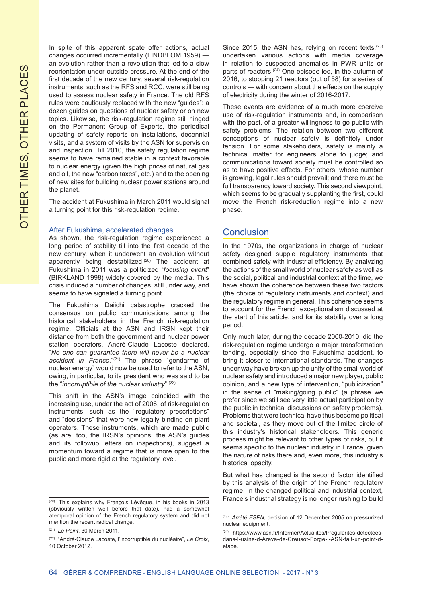In spite of this apparent spate offer actions, actual changes occurred incrementally (LINDBLOM 1959) an evolution rather than a revolution that led to a slow reorientation under outside pressure. At the end of the first decade of the new century, several risk-regulation instruments, such as the RFS and RCC, were still being used to assess nuclear safety in France. The old RFS rules were cautiously replaced with the new "guides": a dozen guides on questions of nuclear safety or on new topics. Likewise, the risk-regulation regime still hinged on the Permanent Group of Experts, the periodical updating of safety reports on installations, decennial visits, and a system of visits by the ASN for supervision and inspection. Till 2010, the safety regulation regime seems to have remained stable in a context favorable to nuclear energy (given the high prices of natural gas and oil, the new "carbon taxes", etc.) and to the opening of new sites for building nuclear power stations around the planet.

The accident at Fukushima in March 2011 would signal a turning point for this risk-regulation regime.

#### After Fukushima, accelerated changes

As shown, the risk-regulation regime experienced a long period of stability till into the first decade of the new century, when it underwent an evolution without apparently being destabilized.<sup>(20)</sup> The accident at Fukushima in 2011 was a politicized "*focusing event*" (BIRKLAND 1998) widely covered by the media. This crisis induced a number of changes, still under way, and seems to have signaled a turning point.

The Fukushima Daiichi catastrophe cracked the consensus on public communications among the historical stakeholders in the French risk-regulation regime. Officials at the ASN and IRSN kept their distance from both the government and nuclear power station operators. André-Claude Lacoste declared, "*No one can guarantee there will never be a nuclear accident in France.*"(21) The phrase "gendarme of nuclear energy" would now be used to refer to the ASN, owing, in particular, to its president who was said to be the "*incorruptible of the nuclear industry*".(22)

This shift in the ASN's image coincided with the increasing use, under the act of 2006, of risk-regulation instruments, such as the "regulatory prescriptions" and "decisions" that were now legally binding on plant operators. These instruments, which are made public (as are, too, the IRSN's opinions, the ASN's guides and its followup letters on inspections), suggest a momentum toward a regime that is more open to the public and more rigid at the regulatory level.

Since 2015, the ASN has, relying on recent texts,  $(23)$ undertaken various actions with media coverage in relation to suspected anomalies in PWR units or parts of reactors.<sup>(24)</sup> One episode led, in the autumn of 2016, to stopping 21 reactors (out of 58) for a series of controls — with concern about the effects on the supply of electricity during the winter of 2016-2017.

These events are evidence of a much more coercive use of risk-regulation instruments and, in comparison with the past, of a greater willingness to go public with safety problems. The relation between two different conceptions of nuclear safety is definitely under tension. For some stakeholders, safety is mainly a technical matter for engineers alone to judge; and communications toward society must be controlled so as to have positive effects. For others, whose number is growing, legal rules should prevail; and there must be full transparency toward society. This second viewpoint, which seems to be gradually supplanting the first, could move the French risk-reduction regime into a new phase.

## **Conclusion**

In the 1970s, the organizations in charge of nuclear safety designed supple regulatory instruments that combined safety with industrial efficiency. By analyzing the actions of the small world of nuclear safety as well as the social, political and industrial context at the time, we have shown the coherence between these two factors (the choice of regulatory instruments and context) and the regulatory regime in general. This coherence seems to account for the French exceptionalism discussed at the start of this article, and for its stability over a long period.

Only much later, during the decade 2000-2010, did the risk-regulation regime undergo a major transformation tending, especially since the Fukushima accident, to bring it closer to international standards. The changes under way have broken up the unity of the small world of nuclear safety and introduced a major new player, public opinion, and a new type of intervention, "publicization" in the sense of "making/going public" (a phrase we prefer since we still see very little actual participation by the public in technical discussions on safety problems). Problems that were technical have thus become political and societal, as they move out of the limited circle of this industry's historical stakeholders. This generic process might be relevant to other types of risks, but it seems specific to the nuclear industry in France, given the nature of risks there and, even more, this industry's historical opacity.

But what has changed is the second factor identified by this analysis of the origin of the French regulatory regime. In the changed political and industrial context, France's industrial strategy is no longer rushing to build

<sup>(20)</sup> This explains why François Lévêque, in his books in 2013 (obviously written well before that date), had a somewhat atemporal opinion of the French regulatory system and did not mention the recent radical change.

<sup>(21)</sup> *Le Point*, 30 March 2011.

<sup>(22)</sup> "André-Claude Lacoste, l'incorruptible du nucléaire", *La Croix*, 10 October 2012.

<sup>(23)</sup> *Arrêté ESPN*, decision of 12 December 2005 on pressurized nuclear equipment.

<sup>(24)</sup> https://www.asn.fr/Informer/Actualites/Irregularites-detecteesdans-l-usine-d-Areva-de-Creusot-Forge-l-ASN-fait-un-point-detape.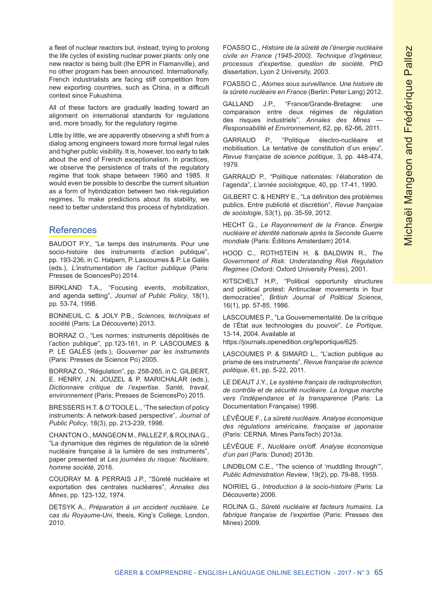a fleet of nuclear reactors but, instead, trying to prolong the life cycles of existing nuclear power plants: only one new reactor is being built (the EPR in Flamanville), and no other program has been announced. Internationally, French industrialists are facing stiff competition from new exporting countries, such as China, in a difficult context since Fukushima.

All of these factors are gradually leading toward an alignment on international standards for regulations and, more broadly, for the regulatory regime.

Little by little, we are apparently observing a shift from a dialog among engineers toward more formal legal rules and higher public visibility. It is, however, too early to talk about the end of French exceptionalism. In practices, we observe the persistence of traits of the regulatory regime that took shape between 1960 and 1985. It would even be possible to describe the current situation as a form of hybridization between two risk-regulation regimes. To make predictions about its stability, we need to better understand this process of hybridization.

## **References**

BAUDOT P.Y., "Le temps des instruments. Pour une socio-histoire des instruments d'action publique", pp. 193-236, in C. Halpern, P. Lascoumes & P. Le Galès (eds.), *L'instrumentation de l'action publique* (Paris: Presses de SciencesPo) 2014.

BIRKLAND T.A., "Focusing events, mobilization, and agenda setting", *Journal of Public Policy*, 18(1), pp. 53-74, 1998.

BONNEUIL C. & JOLY P.B., *Sciences, techniques et société* (Paris: La Découverte) 2013.

BORRAZ O., "Les normes: instruments dépolitisés de l'action publique", pp.123-161, in P. LASCOUMES & P. LE GALÈS (eds.), *Gouverner par les instruments* (Paris: Presses de Science Po) 2005.

BORRAZ O., "Régulation", pp. 258-265, in C. GILBERT, E. HENRY, J.N. JOUZEL & P. MARICHALAR (eds.), *Dictionnaire critique de l'expertise. Santé, travail, environnement* (Paris; Presses de SciencesPo) 2015.

BRESSERS H.T. & O'TOOLE L., "The selection of policy instruments: A network-based perspective", *Journal of Public Policy*, 18(3), pp. 213-239, 1998.

CHANTON O., MANGEON M., PALLEZ F, & ROLINA G., "La dynamique des régimes de régulation de la sûreté nucléaire française à la lumière de ses instruments", paper presented at *Les journées du risque: Nucléaire, homme société*, 2016.

COUDRAY M. & PERRAIS J.P., "Sûreté nucléaire et exportation des centrales nucléaires", *Annales des Mines*, pp. 123-132, 1974.

DETSYK A., *Préparation à un accident nucléaire. Le cas du Royaume-Uni*, thesis, King's College, London, 2010.

FOASSO C., *Histoire de la sûreté de l'énergie nucléaire civile en France (1945-2000). Technique d'ingénieur, processus d'expertise, question de société*, PhD dissertation, Lyon 2 University, 2003.

FOASSO C., *Atomes sous surveillance. Une histoire de la sûreté nucléaire en France* (Berlin: Peter Lang) 2012.

GALLAND J.P., "France/Grande-Bretagne: une comparaison entre deux régimes de régulation des risques industriels". *Annales des Mines — Responsabilité et Environnement*, 62, pp. 62-66, 2011.

GARRAUD P., "Politique électro-nucléaire et mobilisation. La tentative de constitution d'un enjeu", *Revue française de science politique*, 3, pp. 448-474, 1979.

GARRAUD P., "Politique nationales: l'élaboration de l'agenda", *L'année sociologique*, 40, pp. 17-41, 1990.

GILBERT C. & HENRY E., "La définition des problèmes publics. Entre publicité et discrétion", *Revue française de sociologie*, 53(1), pp. 35-59, 2012.

HECHT G., *Le Rayonnement de la France. Énergie nucléaire et identité nationale après la Seconde Guerre mondiale* (Paris: Éditions Amsterdam) 2014.

HOOD C., ROTHSTEIN H. & BALDWIN R., *The Government of Risk: Understanding Risk Regulation Regimes* (Oxford: Oxford University Press), 2001.

KITSCHELT H.P., "Political opportunity structures and political protest: Antinuclear movements in four democracies", *British Journal of Political Science*, 16(1), pp. 57-85, 1986.

LASCOUMES P., "La Gouvernementalité. De la critique de l'État aux technologies du pouvoir", *Le Portique*, 13-14, 2004. Available at

https://journals.openedition.org/leportique/625.

LASCOUMES P. & SIMARD L., "L'action publique au prisme de ses instruments", *Revue française de science politique*, 61, pp. 5-22, 2011.

LE DEAUT J.Y., *Le système français de radioprotection, de contrôle et de sécurité nucléaire. La longue marche vers l'indépendance et la transparence* (Paris: La Documentation Française) 1998.

LÉVÊQUE F., *La sûreté nucléaire. Analyse économique des régulations américaine, française et japonaise* (Paris: CERNA. Mines ParisTech) 2013a.

LÉVÊQUE F., *Nucléaire on/off. Analyse économique d'un pari* (Paris: Dunod) 2013b.

LINDBLOM C.E., "The science of 'muddling through'", *Public Administration Review*, 19(2), pp. 79-88, 1959.

NOIRIEL G., *Introduction à la socio-histoire* (Paris: La Découverte) 2006.

ROLINA G., *Sûreté nucléaire et facteurs humains. La fabrique française de l'expertise* (Paris: Presses des Mines) 2009.